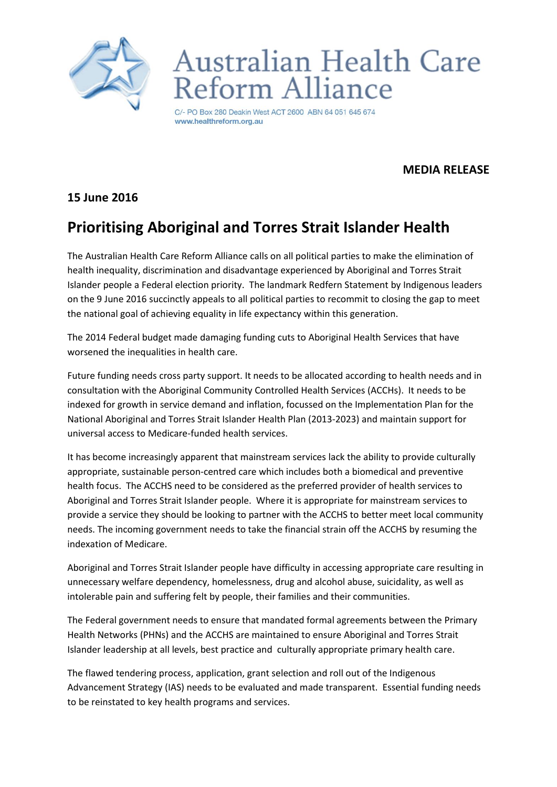

# Australian Health Care eform Alliance

C/- PO Box 280 Deakin West ACT 2600 ABN 64 051 645 674 www.healthreform.org.au

#### **MEDIA RELEASE**

### **15 June 2016**

## **Prioritising Aboriginal and Torres Strait Islander Health**

The Australian Health Care Reform Alliance calls on all political parties to make the elimination of health inequality, discrimination and disadvantage experienced by Aboriginal and Torres Strait Islander people a Federal election priority. The landmark Redfern Statement by Indigenous leaders on the 9 June 2016 succinctly appeals to all political parties to recommit to closing the gap to meet the national goal of achieving equality in life expectancy within this generation.

The 2014 Federal budget made damaging funding cuts to Aboriginal Health Services that have worsened the inequalities in health care.

Future funding needs cross party support. It needs to be allocated according to health needs and in consultation with the Aboriginal Community Controlled Health Services (ACCHs). It needs to be indexed for growth in service demand and inflation, focussed on the Implementation Plan for the National Aboriginal and Torres Strait Islander Health Plan (2013-2023) and maintain support for universal access to Medicare-funded health services.

It has become increasingly apparent that mainstream services lack the ability to provide culturally appropriate, sustainable person-centred care which includes both a biomedical and preventive health focus. The ACCHS need to be considered as the preferred provider of health services to Aboriginal and Torres Strait Islander people. Where it is appropriate for mainstream services to provide a service they should be looking to partner with the ACCHS to better meet local community needs. The incoming government needs to take the financial strain off the ACCHS by resuming the indexation of Medicare.

Aboriginal and Torres Strait Islander people have difficulty in accessing appropriate care resulting in unnecessary welfare dependency, homelessness, drug and alcohol abuse, suicidality, as well as intolerable pain and suffering felt by people, their families and their communities.

The Federal government needs to ensure that mandated formal agreements between the Primary Health Networks (PHNs) and the ACCHS are maintained to ensure Aboriginal and Torres Strait Islander leadership at all levels, best practice and culturally appropriate primary health care.

The flawed tendering process, application, grant selection and roll out of the Indigenous Advancement Strategy (IAS) needs to be evaluated and made transparent. Essential funding needs to be reinstated to key health programs and services.